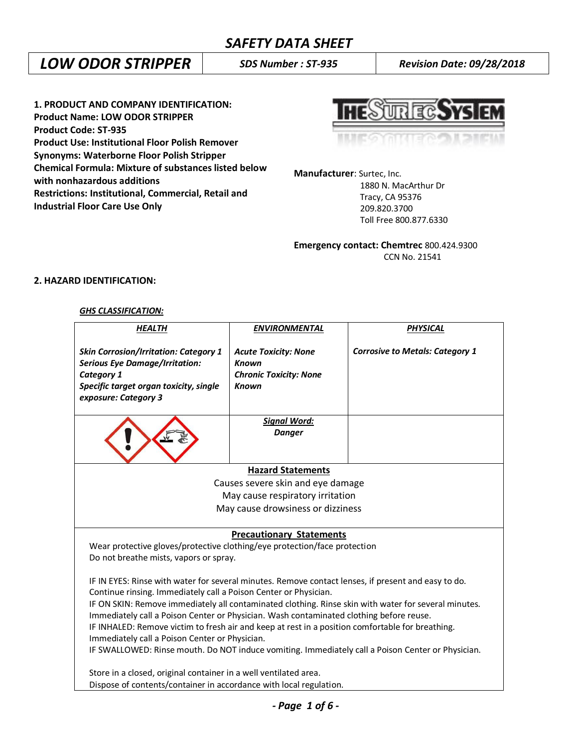# *LOW ODOR STRIPPER SDS Number : ST-935 Revision Date: 09/28/2018*

**1. PRODUCT AND COMPANY IDENTIFICATION: Product Name: LOW ODOR STRIPPER Product Code: ST-935 Product Use: Institutional Floor Polish Remover Synonyms: Waterborne Floor Polish Stripper Chemical Formula: Mixture of substances listed below with nonhazardous additions Restrictions: Institutional, Commercial, Retail and Industrial Floor Care Use Only**

**HESUREGSYS EM** 

**Manufacturer**: Surtec, Inc. 1880 N. MacArthur Dr Tracy, CA 95376 209.820.3700 Toll Free 800.877.6330

**Emergency contact: Chemtrec** 800.424.9300 CCN No. 21541

# **2. HAZARD IDENTIFICATION:**

### *GHS CLASSIFICATION:*

| <b>HEALTH</b>                                                                                                                                                                                   | <b>ENVIRONMENTAL</b>                                                                         | PHYSICAL                               |
|-------------------------------------------------------------------------------------------------------------------------------------------------------------------------------------------------|----------------------------------------------------------------------------------------------|----------------------------------------|
| <b>Skin Corrosion/Irritation: Category 1</b><br><b>Serious Eye Damage/Irritation:</b><br>Category 1<br>Specific target organ toxicity, single<br>exposure: Category 3                           | <b>Acute Toxicity: None</b><br><b>Known</b><br><b>Chronic Toxicity: None</b><br><b>Known</b> | <b>Corrosive to Metals: Category 1</b> |
|                                                                                                                                                                                                 | <u> Signal Word:</u><br><b>Danger</b>                                                        |                                        |
|                                                                                                                                                                                                 | <b>Hazard Statements</b>                                                                     |                                        |
|                                                                                                                                                                                                 | Causes severe skin and eye damage                                                            |                                        |
|                                                                                                                                                                                                 | May cause respiratory irritation                                                             |                                        |
|                                                                                                                                                                                                 | May cause drowsiness or dizziness                                                            |                                        |
| Wear protective gloves/protective clothing/eye protection/face protection<br>Do not breathe mists, vapors or spray.                                                                             | <b>Precautionary Statements</b>                                                              |                                        |
| IF IN EYES: Rinse with water for several minutes. Remove contact lenses, if present and easy to do.<br>Continue rinsing. Immediately call a Poison Center or Physician.                         |                                                                                              |                                        |
| IF ON SKIN: Remove immediately all contaminated clothing. Rinse skin with water for several minutes.<br>Immediately call a Poison Center or Physician. Wash contaminated clothing before reuse. |                                                                                              |                                        |
| IF INHALED: Remove victim to fresh air and keep at rest in a position comfortable for breathing.                                                                                                |                                                                                              |                                        |
| Immediately call a Poison Center or Physician.                                                                                                                                                  |                                                                                              |                                        |
| IF SWALLOWED: Rinse mouth. Do NOT induce vomiting. Immediately call a Poison Center or Physician.                                                                                               |                                                                                              |                                        |
| Store in a closed, original container in a well ventilated area.                                                                                                                                |                                                                                              |                                        |
| Dispose of contents/container in accordance with local regulation.                                                                                                                              |                                                                                              |                                        |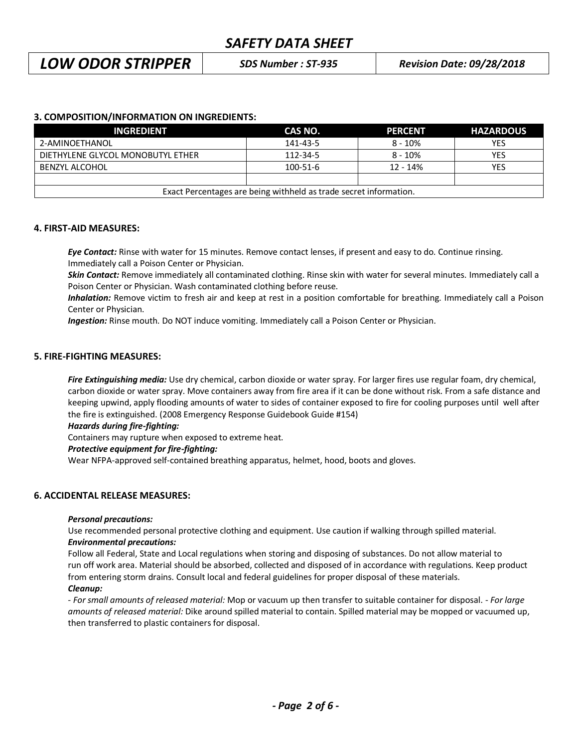# *LOW ODOR STRIPPER SDS Number : ST-935 Revision Date: 09/28/2018*

## **3. COMPOSITION/INFORMATION ON INGREDIENTS:**

| <b>INGREDIENT</b>                 | CAS NO.                                                           | <b>PERCENT</b> | <b>HAZARDOUS</b> |
|-----------------------------------|-------------------------------------------------------------------|----------------|------------------|
| 2-AMINOETHANOL                    | 141-43-5                                                          | $8 - 10%$      | <b>YES</b>       |
| DIETHYLENE GLYCOL MONOBUTYL ETHER | $112 - 34 - 5$                                                    | $8 - 10%$      | <b>YES</b>       |
| BENZYL ALCOHOL                    | $100 - 51 - 6$                                                    | $12 - 14%$     | YES              |
|                                   |                                                                   |                |                  |
|                                   | Exact Percentages are being withheld as trade secret information. |                |                  |

#### **4. FIRST-AID MEASURES:**

*Eye Contact:* Rinse with water for 15 minutes. Remove contact lenses, if present and easy to do. Continue rinsing. Immediately call a Poison Center or Physician.

*Skin Contact:* Remove immediately all contaminated clothing. Rinse skin with water for several minutes. Immediately call a Poison Center or Physician. Wash contaminated clothing before reuse.

 *Inhalation:* Remove victim to fresh air and keep at rest in a position comfortable for breathing. Immediately call a Poison Center or Physician.

*Ingestion:* Rinse mouth. Do NOT induce vomiting. Immediately call a Poison Center or Physician.

#### **5. FIRE-FIGHTING MEASURES:**

*Fire Extinguishing media:* Use dry chemical, carbon dioxide or water spray. For larger fires use regular foam, dry chemical, carbon dioxide or water spray. Move containers away from fire area if it can be done without risk. From a safe distance and keeping upwind, apply flooding amounts of water to sides of container exposed to fire for cooling purposes until well after the fire is extinguished. (2008 Emergency Response Guidebook Guide #154)

#### *Hazards during fire-fighting:*

Containers may rupture when exposed to extreme heat.

#### *Protective equipment for fire-fighting:*

Wear NFPA-approved self-contained breathing apparatus, helmet, hood, boots and gloves.

### **6. ACCIDENTAL RELEASE MEASURES:**

#### *Personal precautions:*

Use recommended personal protective clothing and equipment. Use caution if walking through spilled material. *Environmental precautions:*

Follow all Federal, State and Local regulations when storing and disposing of substances. Do not allow material to run off work area. Material should be absorbed, collected and disposed of in accordance with regulations. Keep product from entering storm drains. Consult local and federal guidelines for proper disposal of these materials. *Cleanup:*

*- For small amounts of released material:* Mop or vacuum up then transfer to suitable container for disposal. - *For large amounts of released material:* Dike around spilled material to contain. Spilled material may be mopped or vacuumed up, then transferred to plastic containers for disposal.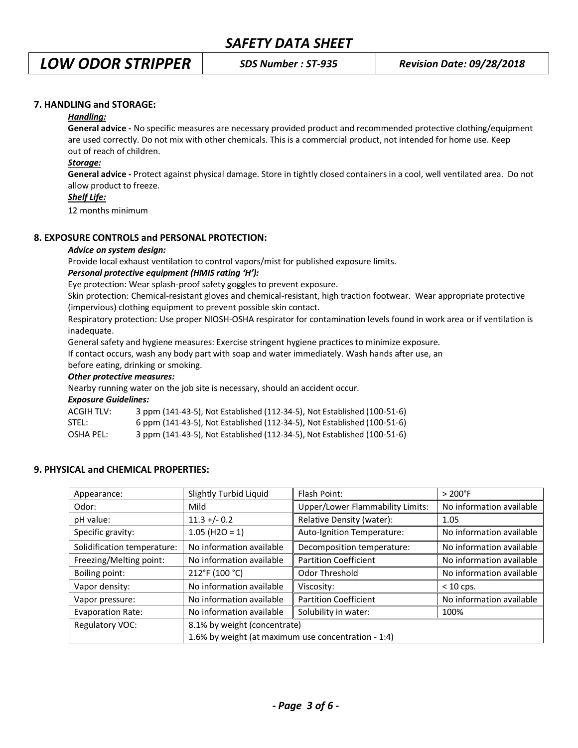# *LOW ODOR STRIPPER SDS Number : ST-935 Revision Date: 09/28/2018*

### **7. HANDLING and STORAGE:**

## *Handling:*

**General advice -** No specific measures are necessary provided product and recommended protective clothing/equipment are used correctly. Do not mix with other chemicals. This is a commercial product, not intended for home use. Keep out of reach of children.

### *Storage:*

**General advice -** Protect against physical damage. Store in tightly closed containers in a cool, well ventilated area. Do not allow product to freeze.

#### *Shelf Life:*

12 months minimum

## **8. EXPOSURE CONTROLS and PERSONAL PROTECTION:**

#### *Advice on system design:*

Provide local exhaust ventilation to control vapors/mist for published exposure limits.

### *Personal protective equipment (HMIS rating 'H'):*

Eye protection: Wear splash-proof safety goggles to prevent exposure.

Skin protection: Chemical-resistant gloves and chemical-resistant, high traction footwear. Wear appropriate protective (impervious) clothing equipment to prevent possible skin contact.

Respiratory protection: Use proper NIOSH-OSHA respirator for contamination levels found in work area or if ventilation is inadequate.

General safety and hygiene measures: Exercise stringent hygiene practices to minimize exposure.

If contact occurs, wash any body part with soap and water immediately. Wash hands after use, an

before eating, drinking or smoking.

### *Other protective measures:*

Nearby running water on the job site is necessary, should an accident occur.

*Exposure Guidelines:*

ACGIH TLV: 3 ppm (141-43-5), Not Established (112-34-5), Not Established (100-51-6)

| STEL: | 6 ppm (141-43-5), Not Established (112-34-5), Not Established (100-51-6) |  |
|-------|--------------------------------------------------------------------------|--|
|-------|--------------------------------------------------------------------------|--|

OSHA PEL: 3 ppm (141-43-5), Not Established (112-34-5), Not Established (100-51-6)

## **9. PHYSICAL and CHEMICAL PROPERTIES:**

| Appearance:                 | Slightly Turbid Liquid                              | Flash Point:                            | $>200^{\circ}$ F         |
|-----------------------------|-----------------------------------------------------|-----------------------------------------|--------------------------|
| Odor:                       | Mild                                                | <b>Upper/Lower Flammability Limits:</b> | No information available |
| pH value:                   | $11.3 + (-0.2)$                                     | Relative Density (water):               | 1.05                     |
| Specific gravity:           | $1.05$ (H2O = 1)                                    | Auto-Ignition Temperature:              | No information available |
| Solidification temperature: | No information available                            | Decomposition temperature:              | No information available |
| Freezing/Melting point:     | No information available                            | <b>Partition Coefficient</b>            | No information available |
| Boiling point:              | 212°F (100 °C)                                      | Odor Threshold                          | No information available |
| Vapor density:              | No information available                            | Viscosity:                              | $< 10$ cps.              |
| Vapor pressure:             | No information available                            | <b>Partition Coefficient</b>            | No information available |
| <b>Evaporation Rate:</b>    | No information available                            | Solubility in water:                    | 100%                     |
| Regulatory VOC:             | 8.1% by weight (concentrate)                        |                                         |                          |
|                             | 1.6% by weight (at maximum use concentration - 1:4) |                                         |                          |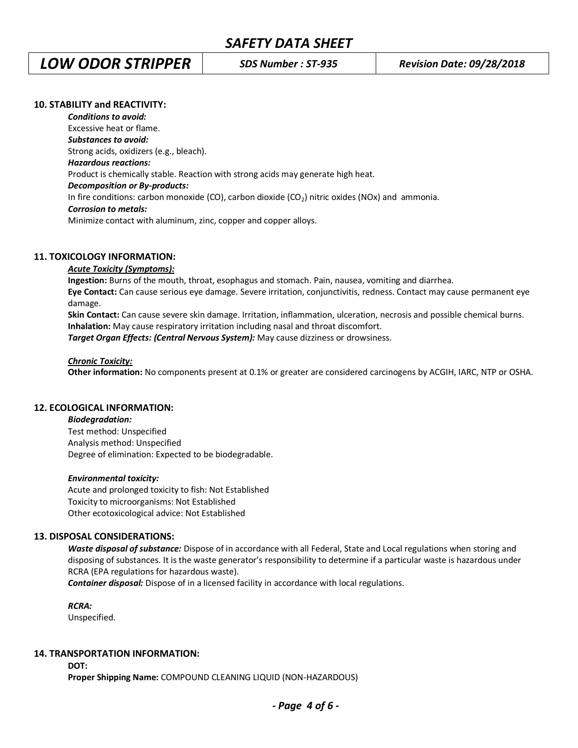# *LOW ODOR STRIPPER SDS Number : ST-935 Revision Date: 09/28/2018*

### **10. STABILITY and REACTIVITY:**

*Conditions to avoid:* Excessive heat or flame. *Substances to avoid:* Strong acids, oxidizers (e.g., bleach). *Hazardous reactions:* Product is chemically stable. Reaction with strong acids may generate high heat. *Decomposition or By-products:* In fire conditions: carbon monoxide (CO), carbon dioxide (CO2) nitric oxides (NOx) and ammonia. *Corrosion to metals:* Minimize contact with aluminum, zinc, copper and copper alloys.

### **11. TOXICOLOGY INFORMATION:**

### *Acute Toxicity (Symptoms):*

**Ingestion:** Burns of the mouth, throat, esophagus and stomach. Pain, nausea, vomiting and diarrhea. **Eye Contact:** Can cause serious eye damage. Severe irritation, conjunctivitis, redness. Contact may cause permanent eye damage.

**Skin Contact:** Can cause severe skin damage. Irritation, inflammation, ulceration, necrosis and possible chemical burns. **Inhalation:** May cause respiratory irritation including nasal and throat discomfort.

*Target Organ Effects: (Central Nervous System):* May cause dizziness or drowsiness.

#### *Chronic Toxicity:*

**Other information:** No components present at 0.1% or greater are considered carcinogens by ACGIH, IARC, NTP or OSHA.

#### **12. ECOLOGICAL INFORMATION:**

#### *Biodegradation:*

Test method: Unspecified Analysis method: Unspecified Degree of elimination: Expected to be biodegradable.

#### *Environmental toxicity:*

Acute and prolonged toxicity to fish: Not Established Toxicity to microorganisms: Not Established Other ecotoxicological advice: Not Established

#### **13. DISPOSAL CONSIDERATIONS:**

*Waste disposal of substance:* Dispose of in accordance with all Federal, State and Local regulations when storing and disposing of substances. It is the waste generator's responsibility to determine if a particular waste is hazardous under RCRA (EPA regulations for hazardous waste).

*Container disposal:* Dispose of in a licensed facility in accordance with local regulations.

#### *RCRA:*

Unspecified.

#### **14. TRANSPORTATION INFORMATION:**

**DOT:**

**Proper Shipping Name:** COMPOUND CLEANING LIQUID (NON-HAZARDOUS)